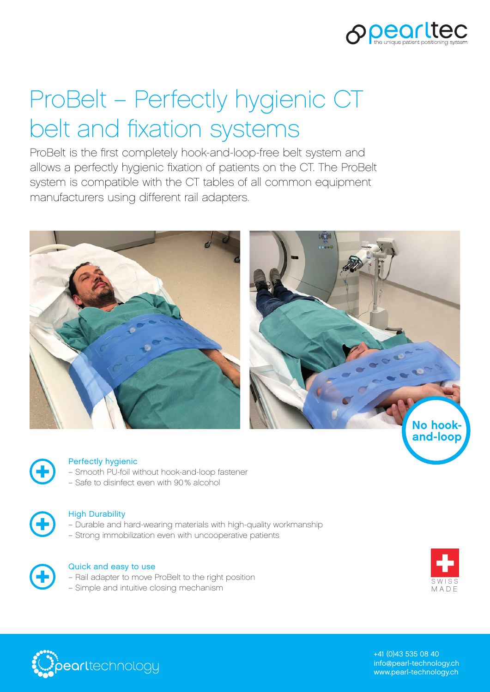

# ProBelt – Perfectly hygienic CT belt and fixation systems

ProBelt is the first completely hook-and-loop-free belt system and allows a perfectly hygienic fixation of patients on the CT. The ProBelt system is compatible with the CT tables of all common equipment manufacturers using different rail adapters.





#### Perfectly hygienic

- Smooth PU-foil without hook-and-loop fastener
- Safe to disinfect even with 90% alcohol



#### High Durability

- Durable and hard-wearing materials with high-quality workmanship
- Strong immobilization even with uncooperative patients



#### Quick and easy to use

- Rail adapter to move ProBelt to the right position
- Simple and intuitive closing mechanism





+41 (0)43 535 08 40 info@pearl-technology.ch www.pearl-technology.ch